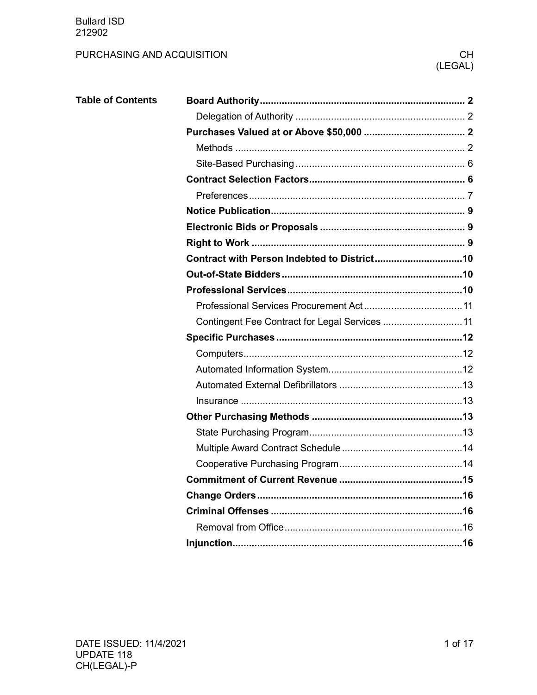# PURCHASING AND ACQUISITION

| <b>Table of Contents</b> |                                                |
|--------------------------|------------------------------------------------|
|                          |                                                |
|                          |                                                |
|                          |                                                |
|                          |                                                |
|                          |                                                |
|                          |                                                |
|                          |                                                |
|                          |                                                |
|                          |                                                |
|                          |                                                |
|                          |                                                |
|                          |                                                |
|                          |                                                |
|                          | Contingent Fee Contract for Legal Services  11 |
|                          |                                                |
|                          |                                                |
|                          |                                                |
|                          |                                                |
|                          |                                                |
|                          |                                                |
|                          |                                                |
|                          |                                                |
|                          |                                                |
|                          |                                                |
|                          |                                                |
|                          |                                                |
|                          |                                                |
|                          |                                                |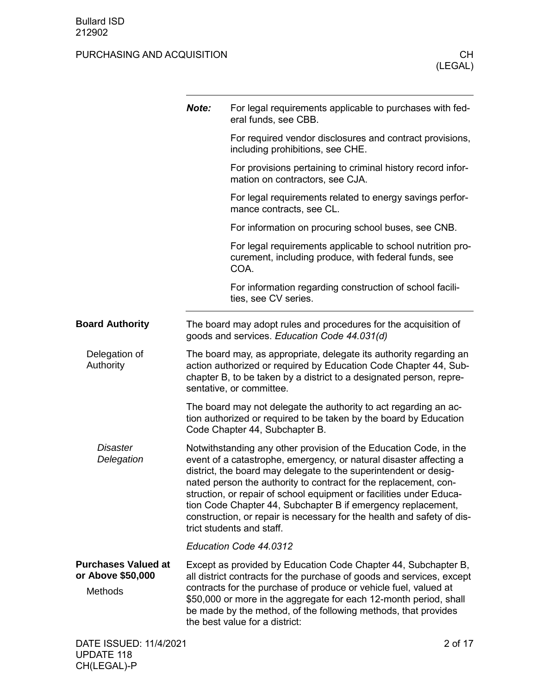<span id="page-1-3"></span><span id="page-1-2"></span><span id="page-1-1"></span><span id="page-1-0"></span>

|                                                                   | Note: | For legal requirements applicable to purchases with fed-<br>eral funds, see CBB.                                                                                                                                                                                                                                                                                                                                                                                                                                              |
|-------------------------------------------------------------------|-------|-------------------------------------------------------------------------------------------------------------------------------------------------------------------------------------------------------------------------------------------------------------------------------------------------------------------------------------------------------------------------------------------------------------------------------------------------------------------------------------------------------------------------------|
|                                                                   |       | For required vendor disclosures and contract provisions,<br>including prohibitions, see CHE.                                                                                                                                                                                                                                                                                                                                                                                                                                  |
|                                                                   |       | For provisions pertaining to criminal history record infor-<br>mation on contractors, see CJA.                                                                                                                                                                                                                                                                                                                                                                                                                                |
|                                                                   |       | For legal requirements related to energy savings perfor-<br>mance contracts, see CL.                                                                                                                                                                                                                                                                                                                                                                                                                                          |
|                                                                   |       | For information on procuring school buses, see CNB.                                                                                                                                                                                                                                                                                                                                                                                                                                                                           |
|                                                                   |       | For legal requirements applicable to school nutrition pro-<br>curement, including produce, with federal funds, see<br>COA.                                                                                                                                                                                                                                                                                                                                                                                                    |
|                                                                   |       | For information regarding construction of school facili-<br>ties, see CV series.                                                                                                                                                                                                                                                                                                                                                                                                                                              |
| <b>Board Authority</b>                                            |       | The board may adopt rules and procedures for the acquisition of<br>goods and services. Education Code 44.031(d)                                                                                                                                                                                                                                                                                                                                                                                                               |
| Delegation of<br>Authority                                        |       | The board may, as appropriate, delegate its authority regarding an<br>action authorized or required by Education Code Chapter 44, Sub-<br>chapter B, to be taken by a district to a designated person, repre-<br>sentative, or committee.                                                                                                                                                                                                                                                                                     |
|                                                                   |       | The board may not delegate the authority to act regarding an ac-<br>tion authorized or required to be taken by the board by Education<br>Code Chapter 44, Subchapter B.                                                                                                                                                                                                                                                                                                                                                       |
| <b>Disaster</b><br>Delegation                                     |       | Notwithstanding any other provision of the Education Code, in the<br>event of a catastrophe, emergency, or natural disaster affecting a<br>district, the board may delegate to the superintendent or desig-<br>nated person the authority to contract for the replacement, con-<br>struction, or repair of school equipment or facilities under Educa-<br>tion Code Chapter 44, Subchapter B if emergency replacement,<br>construction, or repair is necessary for the health and safety of dis-<br>trict students and staff. |
|                                                                   |       | Education Code 44.0312                                                                                                                                                                                                                                                                                                                                                                                                                                                                                                        |
| <b>Purchases Valued at</b><br>or Above \$50,000<br><b>Methods</b> |       | Except as provided by Education Code Chapter 44, Subchapter B,<br>all district contracts for the purchase of goods and services, except<br>contracts for the purchase of produce or vehicle fuel, valued at<br>\$50,000 or more in the aggregate for each 12-month period, shall<br>be made by the method, of the following methods, that provides<br>the best value for a district:                                                                                                                                          |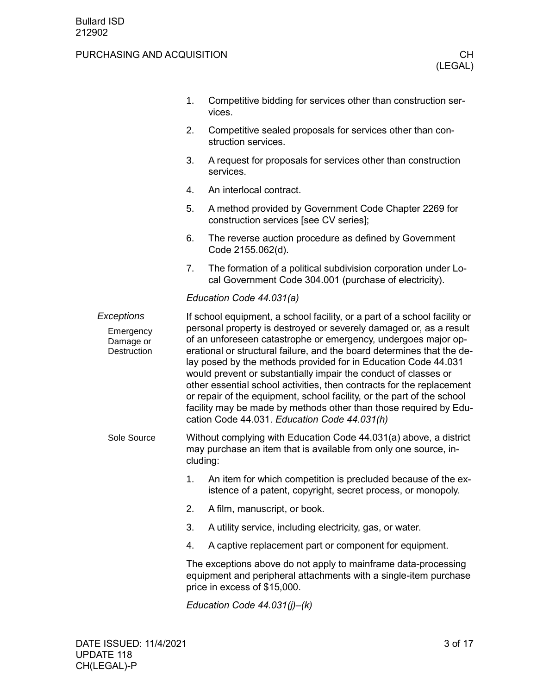|                                                            | 1. | Competitive bidding for services other than construction ser-<br>vices.                                                                                                                                                                                                                                                                                                                                                                                                                                                                                                                                                                                                                                  |
|------------------------------------------------------------|----|----------------------------------------------------------------------------------------------------------------------------------------------------------------------------------------------------------------------------------------------------------------------------------------------------------------------------------------------------------------------------------------------------------------------------------------------------------------------------------------------------------------------------------------------------------------------------------------------------------------------------------------------------------------------------------------------------------|
|                                                            | 2. | Competitive sealed proposals for services other than con-<br>struction services.                                                                                                                                                                                                                                                                                                                                                                                                                                                                                                                                                                                                                         |
|                                                            | 3. | A request for proposals for services other than construction<br>services.                                                                                                                                                                                                                                                                                                                                                                                                                                                                                                                                                                                                                                |
|                                                            | 4. | An interlocal contract.                                                                                                                                                                                                                                                                                                                                                                                                                                                                                                                                                                                                                                                                                  |
|                                                            | 5. | A method provided by Government Code Chapter 2269 for<br>construction services [see CV series];                                                                                                                                                                                                                                                                                                                                                                                                                                                                                                                                                                                                          |
|                                                            | 6. | The reverse auction procedure as defined by Government<br>Code 2155.062(d).                                                                                                                                                                                                                                                                                                                                                                                                                                                                                                                                                                                                                              |
|                                                            | 7. | The formation of a political subdivision corporation under Lo-<br>cal Government Code 304.001 (purchase of electricity).                                                                                                                                                                                                                                                                                                                                                                                                                                                                                                                                                                                 |
|                                                            |    | Education Code 44.031(a)                                                                                                                                                                                                                                                                                                                                                                                                                                                                                                                                                                                                                                                                                 |
| Exceptions<br>Emergency<br>Damage or<br><b>Destruction</b> |    | If school equipment, a school facility, or a part of a school facility or<br>personal property is destroyed or severely damaged or, as a result<br>of an unforeseen catastrophe or emergency, undergoes major op-<br>erational or structural failure, and the board determines that the de-<br>lay posed by the methods provided for in Education Code 44.031<br>would prevent or substantially impair the conduct of classes or<br>other essential school activities, then contracts for the replacement<br>or repair of the equipment, school facility, or the part of the school<br>facility may be made by methods other than those required by Edu-<br>cation Code 44.031. Education Code 44.031(h) |
| Sole Source                                                |    | Without complying with Education Code 44.031(a) above, a district<br>may purchase an item that is available from only one source, in-<br>cluding:                                                                                                                                                                                                                                                                                                                                                                                                                                                                                                                                                        |
|                                                            | 1. | An item for which competition is precluded because of the ex-<br>istence of a patent, copyright, secret process, or monopoly.                                                                                                                                                                                                                                                                                                                                                                                                                                                                                                                                                                            |
|                                                            | 2. | A film, manuscript, or book.                                                                                                                                                                                                                                                                                                                                                                                                                                                                                                                                                                                                                                                                             |
|                                                            | 3. | A utility service, including electricity, gas, or water.                                                                                                                                                                                                                                                                                                                                                                                                                                                                                                                                                                                                                                                 |
|                                                            | 4. | A captive replacement part or component for equipment.                                                                                                                                                                                                                                                                                                                                                                                                                                                                                                                                                                                                                                                   |
|                                                            |    | The exceptions above do not apply to mainframe data-processing<br>equipment and peripheral attachments with a single-item purchase<br>price in excess of \$15,000.                                                                                                                                                                                                                                                                                                                                                                                                                                                                                                                                       |
|                                                            |    | Education Code $44.031(j)–(k)$                                                                                                                                                                                                                                                                                                                                                                                                                                                                                                                                                                                                                                                                           |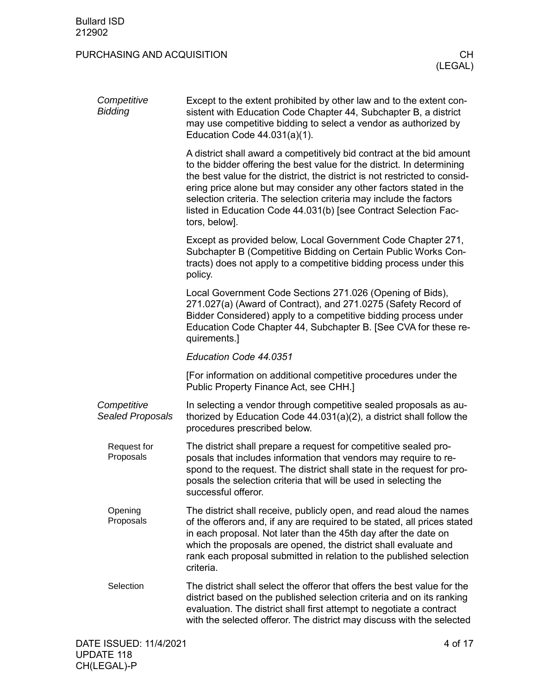| Competitive<br><b>Bidding</b>   | Except to the extent prohibited by other law and to the extent con-<br>sistent with Education Code Chapter 44, Subchapter B, a district<br>may use competitive bidding to select a vendor as authorized by<br>Education Code $44.031(a)(1)$ .                                                                                                                                                                                                                 |  |  |  |  |
|---------------------------------|---------------------------------------------------------------------------------------------------------------------------------------------------------------------------------------------------------------------------------------------------------------------------------------------------------------------------------------------------------------------------------------------------------------------------------------------------------------|--|--|--|--|
|                                 | A district shall award a competitively bid contract at the bid amount<br>to the bidder offering the best value for the district. In determining<br>the best value for the district, the district is not restricted to consid-<br>ering price alone but may consider any other factors stated in the<br>selection criteria. The selection criteria may include the factors<br>listed in Education Code 44.031(b) [see Contract Selection Fac-<br>tors, below]. |  |  |  |  |
|                                 | Except as provided below, Local Government Code Chapter 271,<br>Subchapter B (Competitive Bidding on Certain Public Works Con-<br>tracts) does not apply to a competitive bidding process under this<br>policy.                                                                                                                                                                                                                                               |  |  |  |  |
|                                 | Local Government Code Sections 271.026 (Opening of Bids),<br>271.027(a) (Award of Contract), and 271.0275 (Safety Record of<br>Bidder Considered) apply to a competitive bidding process under<br>Education Code Chapter 44, Subchapter B. [See CVA for these re-<br>quirements.]                                                                                                                                                                             |  |  |  |  |
|                                 | Education Code 44.0351                                                                                                                                                                                                                                                                                                                                                                                                                                        |  |  |  |  |
|                                 | [For information on additional competitive procedures under the<br>Public Property Finance Act, see CHH.]                                                                                                                                                                                                                                                                                                                                                     |  |  |  |  |
| Competitive<br>Sealed Proposals | In selecting a vendor through competitive sealed proposals as au-<br>thorized by Education Code $44.031(a)(2)$ , a district shall follow the<br>procedures prescribed below.                                                                                                                                                                                                                                                                                  |  |  |  |  |
| Request for<br>Proposals        | The district shall prepare a request for competitive sealed pro-<br>posals that includes information that vendors may require to re-<br>spond to the request. The district shall state in the request for pro-<br>posals the selection criteria that will be used in selecting the<br>successful offeror.                                                                                                                                                     |  |  |  |  |
| Opening<br>Proposals            | The district shall receive, publicly open, and read aloud the names<br>of the offerors and, if any are required to be stated, all prices stated<br>in each proposal. Not later than the 45th day after the date on<br>which the proposals are opened, the district shall evaluate and<br>rank each proposal submitted in relation to the published selection<br>criteria.                                                                                     |  |  |  |  |
| Selection                       | The district shall select the offeror that offers the best value for the<br>district based on the published selection criteria and on its ranking<br>evaluation. The district shall first attempt to negotiate a contract<br>with the selected offeror. The district may discuss with the selected                                                                                                                                                            |  |  |  |  |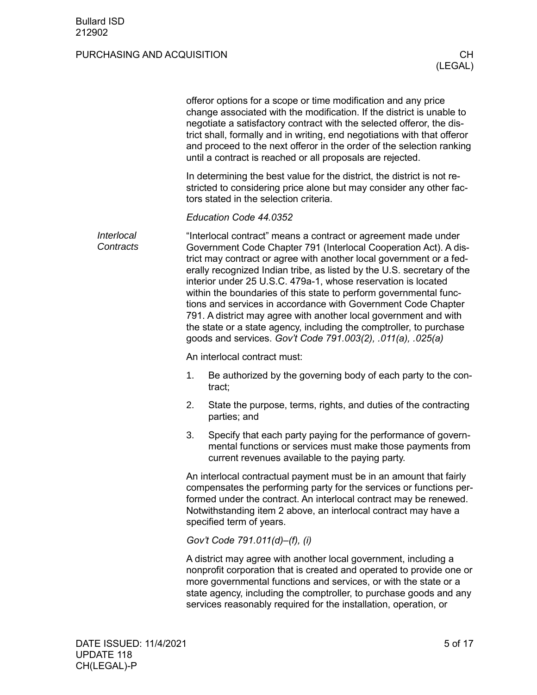|                         |                                                                                                                                                                                                                                                                                                                                                                                                                                                                                                                                                                                                                                                                                                      |    | offeror options for a scope or time modification and any price<br>change associated with the modification. If the district is unable to<br>negotiate a satisfactory contract with the selected offeror, the dis-<br>trict shall, formally and in writing, end negotiations with that offeror<br>and proceed to the next offeror in the order of the selection ranking<br>until a contract is reached or all proposals are rejected. |
|-------------------------|------------------------------------------------------------------------------------------------------------------------------------------------------------------------------------------------------------------------------------------------------------------------------------------------------------------------------------------------------------------------------------------------------------------------------------------------------------------------------------------------------------------------------------------------------------------------------------------------------------------------------------------------------------------------------------------------------|----|-------------------------------------------------------------------------------------------------------------------------------------------------------------------------------------------------------------------------------------------------------------------------------------------------------------------------------------------------------------------------------------------------------------------------------------|
|                         |                                                                                                                                                                                                                                                                                                                                                                                                                                                                                                                                                                                                                                                                                                      |    | In determining the best value for the district, the district is not re-<br>stricted to considering price alone but may consider any other fac-<br>tors stated in the selection criteria.                                                                                                                                                                                                                                            |
|                         |                                                                                                                                                                                                                                                                                                                                                                                                                                                                                                                                                                                                                                                                                                      |    | Education Code 44.0352                                                                                                                                                                                                                                                                                                                                                                                                              |
| Interlocal<br>Contracts | "Interlocal contract" means a contract or agreement made under<br>Government Code Chapter 791 (Interlocal Cooperation Act). A dis-<br>trict may contract or agree with another local government or a fed-<br>erally recognized Indian tribe, as listed by the U.S. secretary of the<br>interior under 25 U.S.C. 479a-1, whose reservation is located<br>within the boundaries of this state to perform governmental func-<br>tions and services in accordance with Government Code Chapter<br>791. A district may agree with another local government and with<br>the state or a state agency, including the comptroller, to purchase<br>goods and services. Gov't Code 791.003(2), .011(a), .025(a) |    |                                                                                                                                                                                                                                                                                                                                                                                                                                     |
|                         |                                                                                                                                                                                                                                                                                                                                                                                                                                                                                                                                                                                                                                                                                                      |    | An interlocal contract must:                                                                                                                                                                                                                                                                                                                                                                                                        |
|                         |                                                                                                                                                                                                                                                                                                                                                                                                                                                                                                                                                                                                                                                                                                      | 1. | Be authorized by the governing body of each party to the con-<br>tract;                                                                                                                                                                                                                                                                                                                                                             |
|                         |                                                                                                                                                                                                                                                                                                                                                                                                                                                                                                                                                                                                                                                                                                      | 2. | State the purpose, terms, rights, and duties of the contracting<br>parties; and                                                                                                                                                                                                                                                                                                                                                     |
|                         |                                                                                                                                                                                                                                                                                                                                                                                                                                                                                                                                                                                                                                                                                                      | 3. | Specify that each party paying for the performance of govern-<br>mental functions or services must make those payments from<br>current revenues available to the paying party.                                                                                                                                                                                                                                                      |
|                         |                                                                                                                                                                                                                                                                                                                                                                                                                                                                                                                                                                                                                                                                                                      |    | An interlocal contractual payment must be in an amount that fairly<br>compensates the performing party for the services or functions per-<br>formed under the contract. An interlocal contract may be renewed.<br>Notwithstanding item 2 above, an interlocal contract may have a<br>specified term of years.                                                                                                                       |
|                         |                                                                                                                                                                                                                                                                                                                                                                                                                                                                                                                                                                                                                                                                                                      |    | Gov't Code 791.011(d)-(f), (i)                                                                                                                                                                                                                                                                                                                                                                                                      |
|                         |                                                                                                                                                                                                                                                                                                                                                                                                                                                                                                                                                                                                                                                                                                      |    | A district may agree with another local government, including a<br>nonprofit corporation that is created and operated to provide one or<br>more governmental functions and services, or with the state or a<br>state agency, including the comptroller, to purchase goods and any<br>services reasonably required for the installation, operation, or                                                                               |
|                         |                                                                                                                                                                                                                                                                                                                                                                                                                                                                                                                                                                                                                                                                                                      |    |                                                                                                                                                                                                                                                                                                                                                                                                                                     |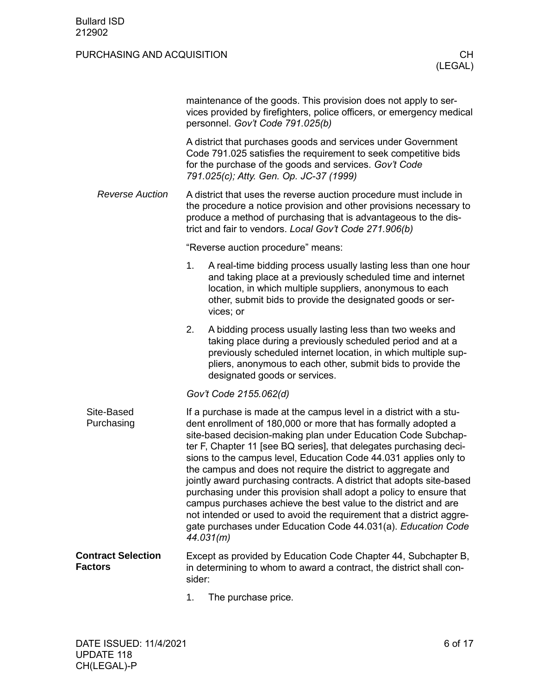|                                             |                                                                                                                                                                                                                                                                                                                                                                                                                                                                                                                                                                                                                                                                                                                                                                                            | maintenance of the goods. This provision does not apply to ser-<br>vices provided by firefighters, police officers, or emergency medical<br>personnel. Gov't Code 791.025(b)                                                                                                              |  |  |
|---------------------------------------------|--------------------------------------------------------------------------------------------------------------------------------------------------------------------------------------------------------------------------------------------------------------------------------------------------------------------------------------------------------------------------------------------------------------------------------------------------------------------------------------------------------------------------------------------------------------------------------------------------------------------------------------------------------------------------------------------------------------------------------------------------------------------------------------------|-------------------------------------------------------------------------------------------------------------------------------------------------------------------------------------------------------------------------------------------------------------------------------------------|--|--|
|                                             | A district that purchases goods and services under Government<br>Code 791.025 satisfies the requirement to seek competitive bids<br>for the purchase of the goods and services. Gov't Code<br>791.025(c); Atty. Gen. Op. JC-37 (1999)                                                                                                                                                                                                                                                                                                                                                                                                                                                                                                                                                      |                                                                                                                                                                                                                                                                                           |  |  |
| <b>Reverse Auction</b>                      |                                                                                                                                                                                                                                                                                                                                                                                                                                                                                                                                                                                                                                                                                                                                                                                            | A district that uses the reverse auction procedure must include in<br>the procedure a notice provision and other provisions necessary to<br>produce a method of purchasing that is advantageous to the dis-<br>trict and fair to vendors. Local Gov't Code 271.906(b)                     |  |  |
|                                             |                                                                                                                                                                                                                                                                                                                                                                                                                                                                                                                                                                                                                                                                                                                                                                                            | "Reverse auction procedure" means:                                                                                                                                                                                                                                                        |  |  |
|                                             | 1.                                                                                                                                                                                                                                                                                                                                                                                                                                                                                                                                                                                                                                                                                                                                                                                         | A real-time bidding process usually lasting less than one hour<br>and taking place at a previously scheduled time and internet<br>location, in which multiple suppliers, anonymous to each<br>other, submit bids to provide the designated goods or ser-<br>vices; or                     |  |  |
|                                             | 2.                                                                                                                                                                                                                                                                                                                                                                                                                                                                                                                                                                                                                                                                                                                                                                                         | A bidding process usually lasting less than two weeks and<br>taking place during a previously scheduled period and at a<br>previously scheduled internet location, in which multiple sup-<br>pliers, anonymous to each other, submit bids to provide the<br>designated goods or services. |  |  |
|                                             |                                                                                                                                                                                                                                                                                                                                                                                                                                                                                                                                                                                                                                                                                                                                                                                            | Gov't Code 2155.062(d)                                                                                                                                                                                                                                                                    |  |  |
| Site-Based<br>Purchasing                    | If a purchase is made at the campus level in a district with a stu-<br>dent enrollment of 180,000 or more that has formally adopted a<br>site-based decision-making plan under Education Code Subchap-<br>ter F, Chapter 11 [see BQ series], that delegates purchasing deci-<br>sions to the campus level, Education Code 44.031 applies only to<br>the campus and does not require the district to aggregate and<br>jointly award purchasing contracts. A district that adopts site-based<br>purchasing under this provision shall adopt a policy to ensure that<br>campus purchases achieve the best value to the district and are<br>not intended or used to avoid the requirement that a district aggre-<br>gate purchases under Education Code 44.031(a). Education Code<br>44.031(m) |                                                                                                                                                                                                                                                                                           |  |  |
| <b>Contract Selection</b><br><b>Factors</b> | sider:                                                                                                                                                                                                                                                                                                                                                                                                                                                                                                                                                                                                                                                                                                                                                                                     | Except as provided by Education Code Chapter 44, Subchapter B,<br>in determining to whom to award a contract, the district shall con-                                                                                                                                                     |  |  |

<span id="page-5-1"></span><span id="page-5-0"></span>1. The purchase price.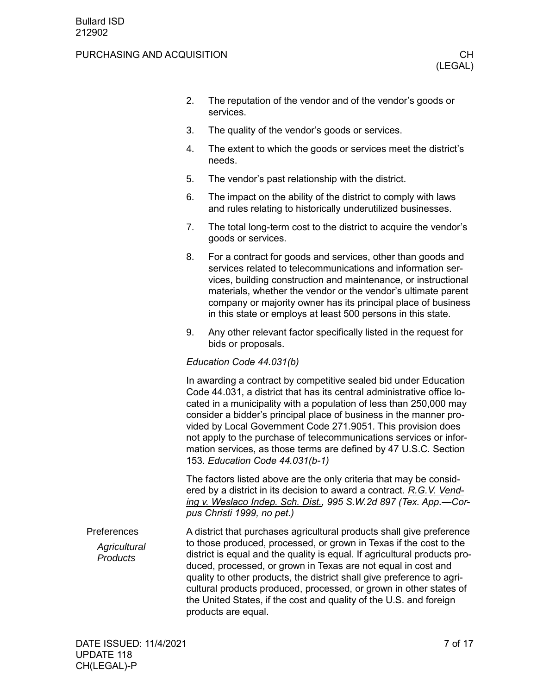#### PURCHASING AND ACQUISITION **CHILIC CHILIC CHILIC CHILIC CHILIC CHILIC CHILIC CHILIC CHILIC CHILIC CHILIC CHILIC CH**

- 2. The reputation of the vendor and of the vendor's goods or services.
- 3. The quality of the vendor's goods or services.
- 4. The extent to which the goods or services meet the district's needs.
- 5. The vendor's past relationship with the district.
- 6. The impact on the ability of the district to comply with laws and rules relating to historically underutilized businesses.
- 7. The total long-term cost to the district to acquire the vendor's goods or services.
- 8. For a contract for goods and services, other than goods and services related to telecommunications and information services, building construction and maintenance, or instructional materials, whether the vendor or the vendor's ultimate parent company or majority owner has its principal place of business in this state or employs at least 500 persons in this state.
- 9. Any other relevant factor specifically listed in the request for bids or proposals.

#### *Education Code 44.031(b)*

In awarding a contract by competitive sealed bid under Education Code 44.031, a district that has its central administrative office located in a municipality with a population of less than 250,000 may consider a bidder's principal place of business in the manner provided by Local Government Code 271.9051. This provision does not apply to the purchase of telecommunications services or information services, as those terms are defined by 47 U.S.C. Section 153. *Education Code 44.031(b-1)*

The factors listed above are the only criteria that may be considered by a district in its decision to award a contract. *R.G.V. Vending v. Weslaco Indep. Sch. Dist., 995 S.W.2d 897 (Tex. App.—Corpus Christi 1999, no pet.)*

<span id="page-6-0"></span>A district that purchases agricultural products shall give preference to those produced, processed, or grown in Texas if the cost to the district is equal and the quality is equal. If agricultural products produced, processed, or grown in Texas are not equal in cost and quality to other products, the district shall give preference to agricultural products produced, processed, or grown in other states of the United States, if the cost and quality of the U.S. and foreign products are equal. Preferences *Agricultural Products*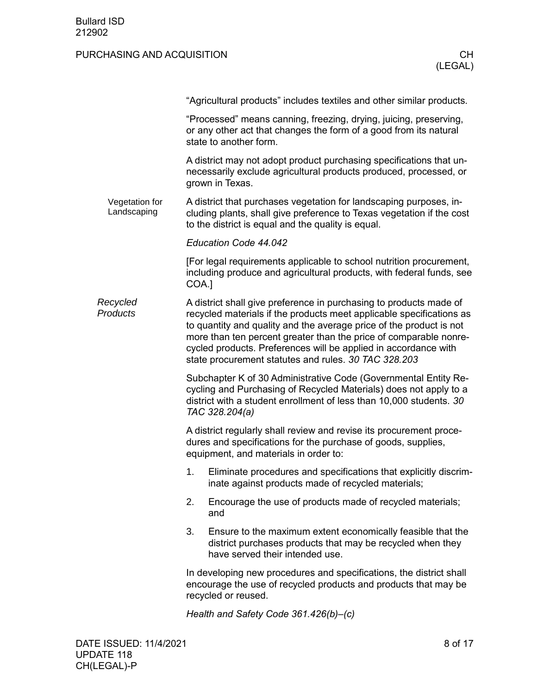|                               |       | "Agricultural products" includes textiles and other similar products.                                                                                                                                                                                                                                                                                                                                             |  |  |
|-------------------------------|-------|-------------------------------------------------------------------------------------------------------------------------------------------------------------------------------------------------------------------------------------------------------------------------------------------------------------------------------------------------------------------------------------------------------------------|--|--|
|                               |       | "Processed" means canning, freezing, drying, juicing, preserving,<br>or any other act that changes the form of a good from its natural<br>state to another form.                                                                                                                                                                                                                                                  |  |  |
|                               |       | A district may not adopt product purchasing specifications that un-<br>necessarily exclude agricultural products produced, processed, or<br>grown in Texas.                                                                                                                                                                                                                                                       |  |  |
| Vegetation for<br>Landscaping |       | A district that purchases vegetation for landscaping purposes, in-<br>cluding plants, shall give preference to Texas vegetation if the cost<br>to the district is equal and the quality is equal.                                                                                                                                                                                                                 |  |  |
|                               |       | Education Code 44.042                                                                                                                                                                                                                                                                                                                                                                                             |  |  |
|                               | COA.] | [For legal requirements applicable to school nutrition procurement,<br>including produce and agricultural products, with federal funds, see                                                                                                                                                                                                                                                                       |  |  |
| Recycled<br>Products          |       | A district shall give preference in purchasing to products made of<br>recycled materials if the products meet applicable specifications as<br>to quantity and quality and the average price of the product is not<br>more than ten percent greater than the price of comparable nonre-<br>cycled products. Preferences will be applied in accordance with<br>state procurement statutes and rules. 30 TAC 328.203 |  |  |
|                               |       | Subchapter K of 30 Administrative Code (Governmental Entity Re-<br>cycling and Purchasing of Recycled Materials) does not apply to a<br>district with a student enrollment of less than 10,000 students. 30<br>TAC 328.204(a)                                                                                                                                                                                     |  |  |
|                               |       | A district regularly shall review and revise its procurement proce-<br>dures and specifications for the purchase of goods, supplies,<br>equipment, and materials in order to:                                                                                                                                                                                                                                     |  |  |
|                               | 1.    | Eliminate procedures and specifications that explicitly discrim-<br>inate against products made of recycled materials;                                                                                                                                                                                                                                                                                            |  |  |
|                               | 2.    | Encourage the use of products made of recycled materials;<br>and                                                                                                                                                                                                                                                                                                                                                  |  |  |
|                               | 3.    | Ensure to the maximum extent economically feasible that the<br>district purchases products that may be recycled when they<br>have served their intended use.                                                                                                                                                                                                                                                      |  |  |
|                               |       | In developing new procedures and specifications, the district shall<br>encourage the use of recycled products and products that may be<br>recycled or reused.                                                                                                                                                                                                                                                     |  |  |
|                               |       | Health and Safety Code 361.426(b)-(c)                                                                                                                                                                                                                                                                                                                                                                             |  |  |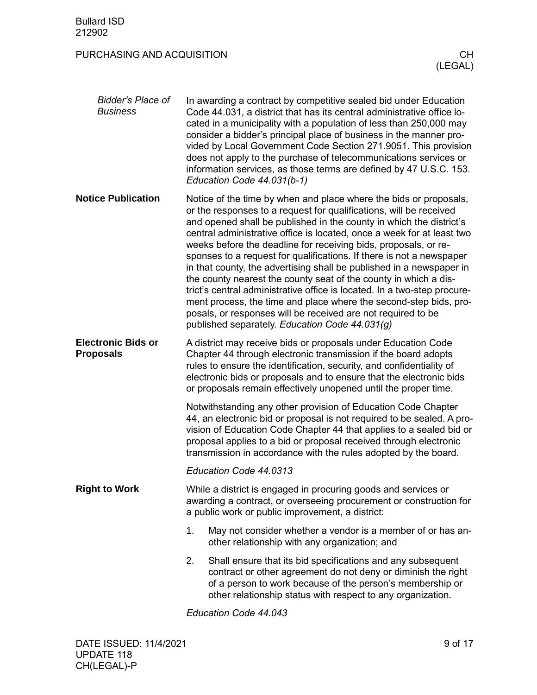<span id="page-8-1"></span><span id="page-8-0"></span>

| Bidder's Place of<br><b>Business</b>          |    | In awarding a contract by competitive sealed bid under Education<br>Code 44.031, a district that has its central administrative office lo-<br>cated in a municipality with a population of less than 250,000 may<br>consider a bidder's principal place of business in the manner pro-<br>vided by Local Government Code Section 271.9051. This provision<br>does not apply to the purchase of telecommunications services or<br>information services, as those terms are defined by 47 U.S.C. 153.<br>Education Code 44.031(b-1)                                                                                                                                                                                                                                                                                                                  |
|-----------------------------------------------|----|----------------------------------------------------------------------------------------------------------------------------------------------------------------------------------------------------------------------------------------------------------------------------------------------------------------------------------------------------------------------------------------------------------------------------------------------------------------------------------------------------------------------------------------------------------------------------------------------------------------------------------------------------------------------------------------------------------------------------------------------------------------------------------------------------------------------------------------------------|
| <b>Notice Publication</b>                     |    | Notice of the time by when and place where the bids or proposals,<br>or the responses to a request for qualifications, will be received<br>and opened shall be published in the county in which the district's<br>central administrative office is located, once a week for at least two<br>weeks before the deadline for receiving bids, proposals, or re-<br>sponses to a request for qualifications. If there is not a newspaper<br>in that county, the advertising shall be published in a newspaper in<br>the county nearest the county seat of the county in which a dis-<br>trict's central administrative office is located. In a two-step procure-<br>ment process, the time and place where the second-step bids, pro-<br>posals, or responses will be received are not required to be<br>published separately. Education Code 44.031(g) |
| <b>Electronic Bids or</b><br><b>Proposals</b> |    | A district may receive bids or proposals under Education Code<br>Chapter 44 through electronic transmission if the board adopts<br>rules to ensure the identification, security, and confidentiality of<br>electronic bids or proposals and to ensure that the electronic bids<br>or proposals remain effectively unopened until the proper time.                                                                                                                                                                                                                                                                                                                                                                                                                                                                                                  |
|                                               |    | Notwithstanding any other provision of Education Code Chapter<br>44, an electronic bid or proposal is not required to be sealed. A pro-<br>vision of Education Code Chapter 44 that applies to a sealed bid or<br>proposal applies to a bid or proposal received through electronic<br>transmission in accordance with the rules adopted by the board.                                                                                                                                                                                                                                                                                                                                                                                                                                                                                             |
|                                               |    | Education Code 44.0313                                                                                                                                                                                                                                                                                                                                                                                                                                                                                                                                                                                                                                                                                                                                                                                                                             |
| <b>Right to Work</b>                          |    | While a district is engaged in procuring goods and services or<br>awarding a contract, or overseeing procurement or construction for<br>a public work or public improvement, a district:                                                                                                                                                                                                                                                                                                                                                                                                                                                                                                                                                                                                                                                           |
|                                               | 1. | May not consider whether a vendor is a member of or has an-<br>other relationship with any organization; and                                                                                                                                                                                                                                                                                                                                                                                                                                                                                                                                                                                                                                                                                                                                       |
|                                               | 2. | Shall ensure that its bid specifications and any subsequent<br>contract or other agreement do not deny or diminish the right<br>of a person to work because of the person's membership or<br>other relationship status with respect to any organization.                                                                                                                                                                                                                                                                                                                                                                                                                                                                                                                                                                                           |
|                                               |    |                                                                                                                                                                                                                                                                                                                                                                                                                                                                                                                                                                                                                                                                                                                                                                                                                                                    |

<span id="page-8-2"></span>*Education Code 44.043*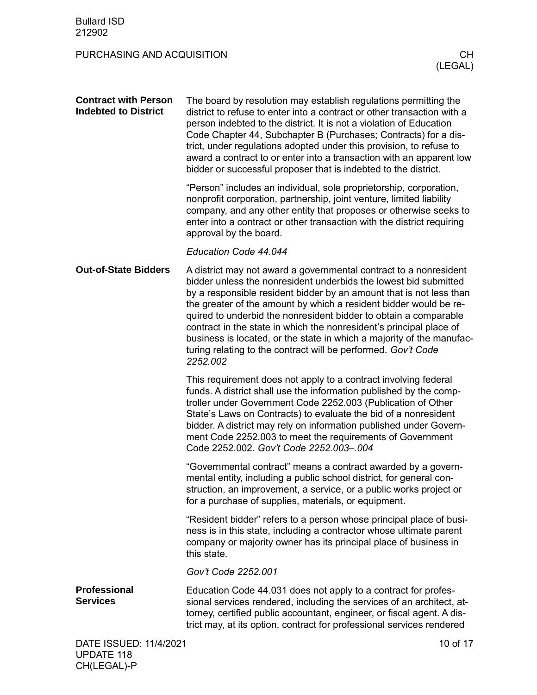<span id="page-9-2"></span><span id="page-9-1"></span><span id="page-9-0"></span>

| <b>Contract with Person</b><br><b>Indebted to District</b> | The board by resolution may establish regulations permitting the<br>district to refuse to enter into a contract or other transaction with a<br>person indebted to the district. It is not a violation of Education<br>Code Chapter 44, Subchapter B (Purchases; Contracts) for a dis-<br>trict, under regulations adopted under this provision, to refuse to<br>award a contract to or enter into a transaction with an apparent low<br>bidder or successful proposer that is indebted to the district.                                                                            |
|------------------------------------------------------------|------------------------------------------------------------------------------------------------------------------------------------------------------------------------------------------------------------------------------------------------------------------------------------------------------------------------------------------------------------------------------------------------------------------------------------------------------------------------------------------------------------------------------------------------------------------------------------|
|                                                            | "Person" includes an individual, sole proprietorship, corporation,<br>nonprofit corporation, partnership, joint venture, limited liability<br>company, and any other entity that proposes or otherwise seeks to<br>enter into a contract or other transaction with the district requiring<br>approval by the board.                                                                                                                                                                                                                                                                |
|                                                            | Education Code 44.044                                                                                                                                                                                                                                                                                                                                                                                                                                                                                                                                                              |
| <b>Out-of-State Bidders</b>                                | A district may not award a governmental contract to a nonresident<br>bidder unless the nonresident underbids the lowest bid submitted<br>by a responsible resident bidder by an amount that is not less than<br>the greater of the amount by which a resident bidder would be re-<br>quired to underbid the nonresident bidder to obtain a comparable<br>contract in the state in which the nonresident's principal place of<br>business is located, or the state in which a majority of the manufac-<br>turing relating to the contract will be performed. Gov't Code<br>2252.002 |
|                                                            | This requirement does not apply to a contract involving federal<br>funds. A district shall use the information published by the comp-<br>troller under Government Code 2252.003 (Publication of Other<br>State's Laws on Contracts) to evaluate the bid of a nonresident<br>bidder. A district may rely on information published under Govern-<br>ment Code 2252.003 to meet the requirements of Government<br>Code 2252.002. Gov't Code 2252.003-.004                                                                                                                             |
|                                                            | "Governmental contract" means a contract awarded by a govern-<br>mental entity, including a public school district, for general con-<br>struction, an improvement, a service, or a public works project or<br>for a purchase of supplies, materials, or equipment.                                                                                                                                                                                                                                                                                                                 |
|                                                            | "Resident bidder" refers to a person whose principal place of busi-<br>ness is in this state, including a contractor whose ultimate parent<br>company or majority owner has its principal place of business in<br>this state.                                                                                                                                                                                                                                                                                                                                                      |
|                                                            | Gov't Code 2252.001                                                                                                                                                                                                                                                                                                                                                                                                                                                                                                                                                                |
| <b>Professional</b><br><b>Services</b>                     | Education Code 44.031 does not apply to a contract for profes-<br>sional services rendered, including the services of an architect, at-<br>torney, certified public accountant, engineer, or fiscal agent. A dis-<br>trict may, at its option, contract for professional services rendered                                                                                                                                                                                                                                                                                         |
| DATE ISSUED: 11/4/2021                                     | 10 of 17                                                                                                                                                                                                                                                                                                                                                                                                                                                                                                                                                                           |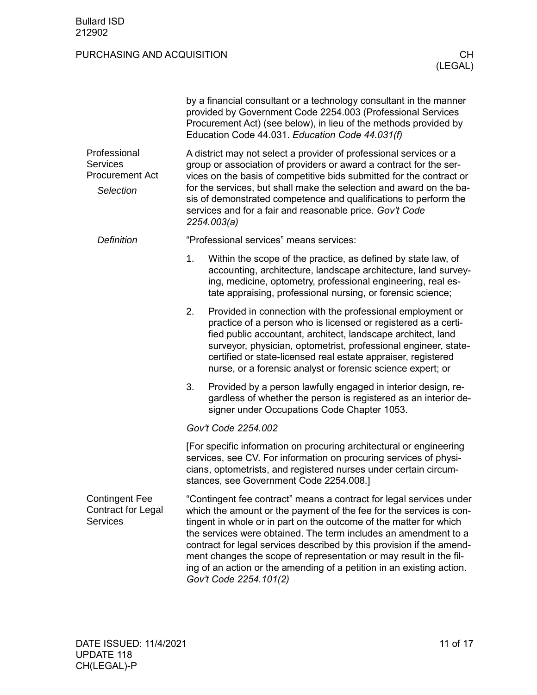<span id="page-10-1"></span><span id="page-10-0"></span>

|                                                                        |                                                                                                                                                                                                                                                                                                                                                                                                                                                                                                                                       | by a financial consultant or a technology consultant in the manner<br>provided by Government Code 2254.003 (Professional Services<br>Procurement Act) (see below), in lieu of the methods provided by<br>Education Code 44.031. Education Code 44.031(f)                                                                                                                                                                               |  |  |
|------------------------------------------------------------------------|---------------------------------------------------------------------------------------------------------------------------------------------------------------------------------------------------------------------------------------------------------------------------------------------------------------------------------------------------------------------------------------------------------------------------------------------------------------------------------------------------------------------------------------|----------------------------------------------------------------------------------------------------------------------------------------------------------------------------------------------------------------------------------------------------------------------------------------------------------------------------------------------------------------------------------------------------------------------------------------|--|--|
| Professional<br><b>Services</b><br><b>Procurement Act</b><br>Selection |                                                                                                                                                                                                                                                                                                                                                                                                                                                                                                                                       | A district may not select a provider of professional services or a<br>group or association of providers or award a contract for the ser-<br>vices on the basis of competitive bids submitted for the contract or<br>for the services, but shall make the selection and award on the ba-<br>sis of demonstrated competence and qualifications to perform the<br>services and for a fair and reasonable price. Gov't Code<br>2254.003(a) |  |  |
| <b>Definition</b>                                                      |                                                                                                                                                                                                                                                                                                                                                                                                                                                                                                                                       | "Professional services" means services:                                                                                                                                                                                                                                                                                                                                                                                                |  |  |
|                                                                        | 1.                                                                                                                                                                                                                                                                                                                                                                                                                                                                                                                                    | Within the scope of the practice, as defined by state law, of<br>accounting, architecture, landscape architecture, land survey-<br>ing, medicine, optometry, professional engineering, real es-<br>tate appraising, professional nursing, or forensic science;                                                                                                                                                                         |  |  |
|                                                                        | 2.                                                                                                                                                                                                                                                                                                                                                                                                                                                                                                                                    | Provided in connection with the professional employment or<br>practice of a person who is licensed or registered as a certi-<br>fied public accountant, architect, landscape architect, land<br>surveyor, physician, optometrist, professional engineer, state-<br>certified or state-licensed real estate appraiser, registered<br>nurse, or a forensic analyst or forensic science expert; or                                        |  |  |
|                                                                        | 3.                                                                                                                                                                                                                                                                                                                                                                                                                                                                                                                                    | Provided by a person lawfully engaged in interior design, re-<br>gardless of whether the person is registered as an interior de-<br>signer under Occupations Code Chapter 1053.                                                                                                                                                                                                                                                        |  |  |
|                                                                        |                                                                                                                                                                                                                                                                                                                                                                                                                                                                                                                                       | Gov't Code 2254.002                                                                                                                                                                                                                                                                                                                                                                                                                    |  |  |
|                                                                        | [For specific information on procuring architectural or engineering<br>services, see CV. For information on procuring services of physi-<br>cians, optometrists, and registered nurses under certain circum-<br>stances, see Government Code 2254.008.]                                                                                                                                                                                                                                                                               |                                                                                                                                                                                                                                                                                                                                                                                                                                        |  |  |
| <b>Contingent Fee</b><br>Contract for Legal<br><b>Services</b>         | "Contingent fee contract" means a contract for legal services under<br>which the amount or the payment of the fee for the services is con-<br>tingent in whole or in part on the outcome of the matter for which<br>the services were obtained. The term includes an amendment to a<br>contract for legal services described by this provision if the amend-<br>ment changes the scope of representation or may result in the fil-<br>ing of an action or the amending of a petition in an existing action.<br>Gov't Code 2254.101(2) |                                                                                                                                                                                                                                                                                                                                                                                                                                        |  |  |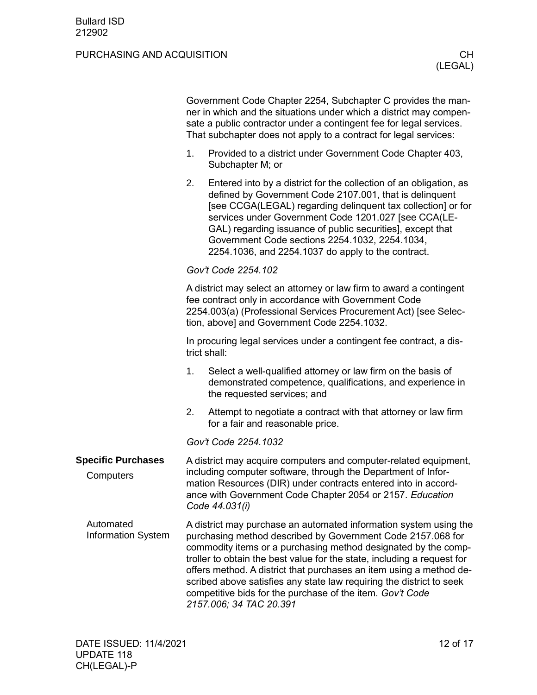<span id="page-11-2"></span><span id="page-11-1"></span><span id="page-11-0"></span>

|                                        | Government Code Chapter 2254, Subchapter C provides the man-<br>ner in which and the situations under which a district may compen-<br>sate a public contractor under a contingent fee for legal services.<br>That subchapter does not apply to a contract for legal services:      |                                                                                                                                                                                                                                                                                                                                                                                                                                                                                                                      |  |  |
|----------------------------------------|------------------------------------------------------------------------------------------------------------------------------------------------------------------------------------------------------------------------------------------------------------------------------------|----------------------------------------------------------------------------------------------------------------------------------------------------------------------------------------------------------------------------------------------------------------------------------------------------------------------------------------------------------------------------------------------------------------------------------------------------------------------------------------------------------------------|--|--|
|                                        | 1.                                                                                                                                                                                                                                                                                 | Provided to a district under Government Code Chapter 403,<br>Subchapter M; or                                                                                                                                                                                                                                                                                                                                                                                                                                        |  |  |
|                                        | 2.                                                                                                                                                                                                                                                                                 | Entered into by a district for the collection of an obligation, as<br>defined by Government Code 2107.001, that is delinquent<br>[see CCGA(LEGAL) regarding delinquent tax collection] or for<br>services under Government Code 1201.027 [see CCA(LE-<br>GAL) regarding issuance of public securities], except that<br>Government Code sections 2254.1032, 2254.1034,<br>2254.1036, and 2254.1037 do apply to the contract.                                                                                          |  |  |
|                                        | Gov't Code 2254.102                                                                                                                                                                                                                                                                |                                                                                                                                                                                                                                                                                                                                                                                                                                                                                                                      |  |  |
|                                        | A district may select an attorney or law firm to award a contingent<br>fee contract only in accordance with Government Code<br>2254.003(a) (Professional Services Procurement Act) [see Selec-<br>tion, above] and Government Code 2254.1032.                                      |                                                                                                                                                                                                                                                                                                                                                                                                                                                                                                                      |  |  |
|                                        | In procuring legal services under a contingent fee contract, a dis-<br>trict shall:                                                                                                                                                                                                |                                                                                                                                                                                                                                                                                                                                                                                                                                                                                                                      |  |  |
|                                        | 1.                                                                                                                                                                                                                                                                                 | Select a well-qualified attorney or law firm on the basis of<br>demonstrated competence, qualifications, and experience in<br>the requested services; and                                                                                                                                                                                                                                                                                                                                                            |  |  |
|                                        | 2.                                                                                                                                                                                                                                                                                 | Attempt to negotiate a contract with that attorney or law firm<br>for a fair and reasonable price.                                                                                                                                                                                                                                                                                                                                                                                                                   |  |  |
|                                        |                                                                                                                                                                                                                                                                                    | Gov't Code 2254.1032                                                                                                                                                                                                                                                                                                                                                                                                                                                                                                 |  |  |
| <b>Specific Purchases</b><br>Computers | A district may acquire computers and computer-related equipment,<br>including computer software, through the Department of Infor-<br>mation Resources (DIR) under contracts entered into in accord-<br>ance with Government Code Chapter 2054 or 2157. Education<br>Code 44.031(i) |                                                                                                                                                                                                                                                                                                                                                                                                                                                                                                                      |  |  |
| Automated<br><b>Information System</b> |                                                                                                                                                                                                                                                                                    | A district may purchase an automated information system using the<br>purchasing method described by Government Code 2157.068 for<br>commodity items or a purchasing method designated by the comp-<br>troller to obtain the best value for the state, including a request for<br>offers method. A district that purchases an item using a method de-<br>scribed above satisfies any state law requiring the district to seek<br>competitive bids for the purchase of the item. Gov't Code<br>2157.006; 34 TAC 20.391 |  |  |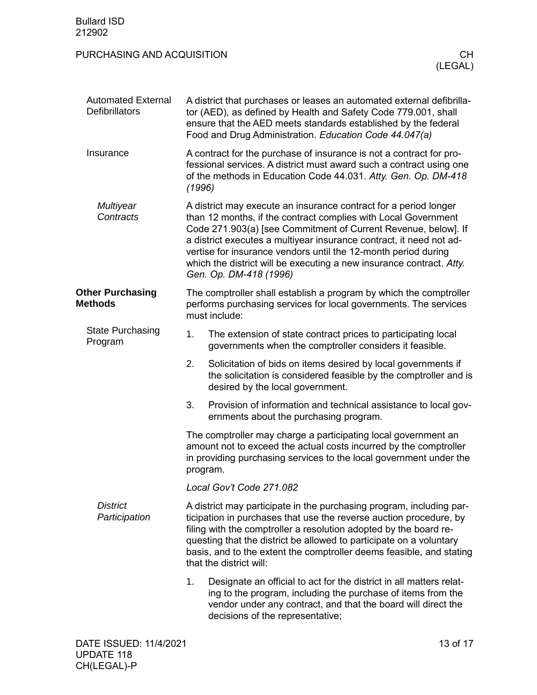<span id="page-12-3"></span><span id="page-12-2"></span><span id="page-12-1"></span><span id="page-12-0"></span>

| <b>Bullard ISD</b><br>212902                       |                                                                                                                                                                                                                       |                                                                                                                                                                                                                                                                                                                                                                                                                                                 |
|----------------------------------------------------|-----------------------------------------------------------------------------------------------------------------------------------------------------------------------------------------------------------------------|-------------------------------------------------------------------------------------------------------------------------------------------------------------------------------------------------------------------------------------------------------------------------------------------------------------------------------------------------------------------------------------------------------------------------------------------------|
| PURCHASING AND ACQUISITION                         |                                                                                                                                                                                                                       | CH.<br>(LEGAL)                                                                                                                                                                                                                                                                                                                                                                                                                                  |
| <b>Automated External</b><br><b>Defibrillators</b> |                                                                                                                                                                                                                       | A district that purchases or leases an automated external defibrilla-<br>tor (AED), as defined by Health and Safety Code 779.001, shall<br>ensure that the AED meets standards established by the federal<br>Food and Drug Administration. Education Code 44.047(a)                                                                                                                                                                             |
| Insurance                                          | (1996)                                                                                                                                                                                                                | A contract for the purchase of insurance is not a contract for pro-<br>fessional services. A district must award such a contract using one<br>of the methods in Education Code 44.031. Atty. Gen. Op. DM-418                                                                                                                                                                                                                                    |
| <b>Multiyear</b><br>Contracts                      |                                                                                                                                                                                                                       | A district may execute an insurance contract for a period longer<br>than 12 months, if the contract complies with Local Government<br>Code 271.903(a) [see Commitment of Current Revenue, below]. If<br>a district executes a multiyear insurance contract, it need not ad-<br>vertise for insurance vendors until the 12-month period during<br>which the district will be executing a new insurance contract. Atty.<br>Gen. Op. DM-418 (1996) |
| <b>Other Purchasing</b><br><b>Methods</b>          |                                                                                                                                                                                                                       | The comptroller shall establish a program by which the comptroller<br>performs purchasing services for local governments. The services<br>must include:                                                                                                                                                                                                                                                                                         |
| <b>State Purchasing</b><br>Program                 | 1.                                                                                                                                                                                                                    | The extension of state contract prices to participating local<br>governments when the comptroller considers it feasible.                                                                                                                                                                                                                                                                                                                        |
|                                                    | 2.                                                                                                                                                                                                                    | Solicitation of bids on items desired by local governments if<br>the solicitation is considered feasible by the comptroller and is<br>desired by the local government.                                                                                                                                                                                                                                                                          |
|                                                    | 3.                                                                                                                                                                                                                    | Provision of information and technical assistance to local gov-<br>ernments about the purchasing program.                                                                                                                                                                                                                                                                                                                                       |
|                                                    | The comptroller may charge a participating local government an<br>amount not to exceed the actual costs incurred by the comptroller<br>in providing purchasing services to the local government under the<br>program. |                                                                                                                                                                                                                                                                                                                                                                                                                                                 |
|                                                    |                                                                                                                                                                                                                       | Local Gov't Code 271.082                                                                                                                                                                                                                                                                                                                                                                                                                        |
| <b>District</b><br>Participation                   |                                                                                                                                                                                                                       | A district may participate in the purchasing program, including par-<br>ticipation in purchases that use the reverse auction procedure, by<br>filing with the comptroller a resolution adopted by the board re-<br>questing that the district be allowed to participate on a voluntary<br>basis, and to the extent the comptroller deems feasible, and stating<br>that the district will:                                                       |
|                                                    | 1.                                                                                                                                                                                                                    | Designate an official to act for the district in all matters relat-<br>ing to the program, including the purchase of items from the<br>vendor under any contract, and that the board will direct the<br>decisions of the representative;                                                                                                                                                                                                        |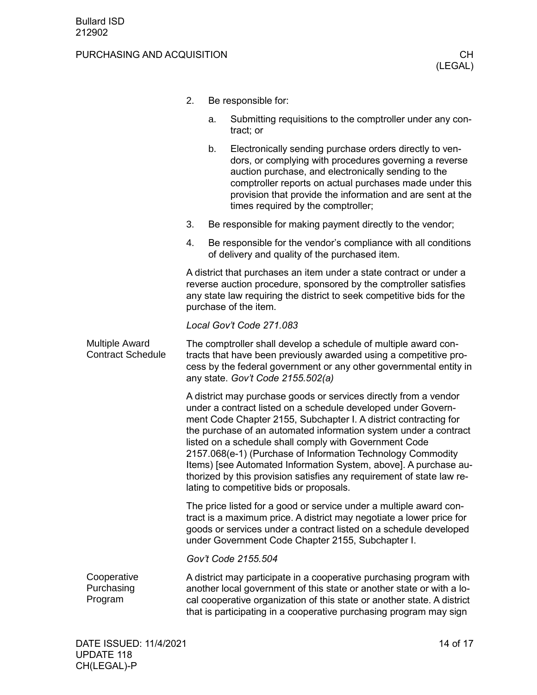#### PURCHASING AND ACQUISITION **CHILIC CHILIC CHILIC CHILIC CHILIC CHILIC CHILIC CHILIC CHILIC CHILIC CHILIC CHILIC CH**

- 2. Be responsible for:
	- a. Submitting requisitions to the comptroller under any contract; or
	- b. Electronically sending purchase orders directly to vendors, or complying with procedures governing a reverse auction purchase, and electronically sending to the comptroller reports on actual purchases made under this provision that provide the information and are sent at the times required by the comptroller;
- 3. Be responsible for making payment directly to the vendor;
- 4. Be responsible for the vendor's compliance with all conditions of delivery and quality of the purchased item.

A district that purchases an item under a state contract or under a reverse auction procedure, sponsored by the comptroller satisfies any state law requiring the district to seek competitive bids for the purchase of the item.

#### *Local Gov't Code 271.083*

<span id="page-13-0"></span>The comptroller shall develop a schedule of multiple award contracts that have been previously awarded using a competitive process by the federal government or any other governmental entity in any state. *Gov't Code 2155.502(a)* Multiple Award Contract Schedule

> A district may purchase goods or services directly from a vendor under a contract listed on a schedule developed under Government Code Chapter 2155, Subchapter I. A district contracting for the purchase of an automated information system under a contract listed on a schedule shall comply with Government Code 2157.068(e-1) (Purchase of Information Technology Commodity Items) [see Automated Information System, above]. A purchase authorized by this provision satisfies any requirement of state law relating to competitive bids or proposals.

> The price listed for a good or service under a multiple award contract is a maximum price. A district may negotiate a lower price for goods or services under a contract listed on a schedule developed under Government Code Chapter 2155, Subchapter I.

*Gov't Code 2155.504*

<span id="page-13-1"></span>A district may participate in a cooperative purchasing program with another local government of this state or another state or with a local cooperative organization of this state or another state. A district that is participating in a cooperative purchasing program may sign **Cooperative** Purchasing Program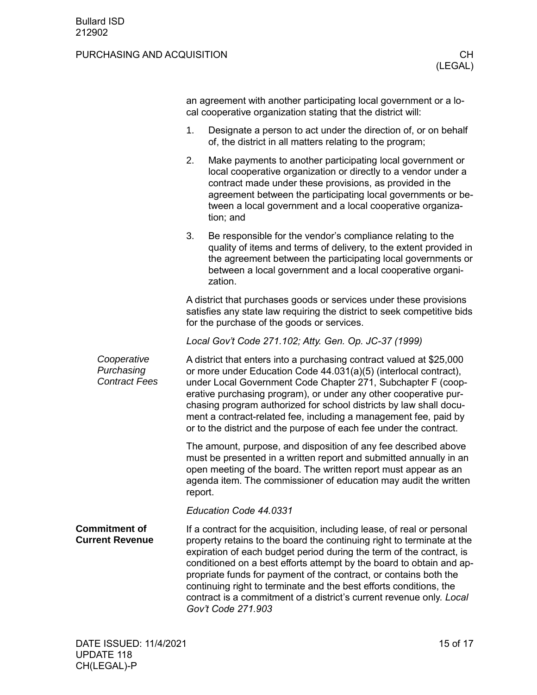<span id="page-14-0"></span>

|                                                   | an agreement with another participating local government or a lo-<br>cal cooperative organization stating that the district will:                                                                                                                                                                                                                                                                                                                                                            |                                                                                                                                                                                                                                                                                                                                                                                                                                                                                                                                            |  |
|---------------------------------------------------|----------------------------------------------------------------------------------------------------------------------------------------------------------------------------------------------------------------------------------------------------------------------------------------------------------------------------------------------------------------------------------------------------------------------------------------------------------------------------------------------|--------------------------------------------------------------------------------------------------------------------------------------------------------------------------------------------------------------------------------------------------------------------------------------------------------------------------------------------------------------------------------------------------------------------------------------------------------------------------------------------------------------------------------------------|--|
|                                                   | 1.                                                                                                                                                                                                                                                                                                                                                                                                                                                                                           | Designate a person to act under the direction of, or on behalf<br>of, the district in all matters relating to the program;                                                                                                                                                                                                                                                                                                                                                                                                                 |  |
|                                                   | 2.                                                                                                                                                                                                                                                                                                                                                                                                                                                                                           | Make payments to another participating local government or<br>local cooperative organization or directly to a vendor under a<br>contract made under these provisions, as provided in the<br>agreement between the participating local governments or be-<br>tween a local government and a local cooperative organiza-<br>tion; and                                                                                                                                                                                                        |  |
|                                                   | 3.                                                                                                                                                                                                                                                                                                                                                                                                                                                                                           | Be responsible for the vendor's compliance relating to the<br>quality of items and terms of delivery, to the extent provided in<br>the agreement between the participating local governments or<br>between a local government and a local cooperative organi-<br>zation.                                                                                                                                                                                                                                                                   |  |
|                                                   | A district that purchases goods or services under these provisions<br>satisfies any state law requiring the district to seek competitive bids<br>for the purchase of the goods or services.                                                                                                                                                                                                                                                                                                  |                                                                                                                                                                                                                                                                                                                                                                                                                                                                                                                                            |  |
|                                                   |                                                                                                                                                                                                                                                                                                                                                                                                                                                                                              | Local Gov't Code 271.102; Atty. Gen. Op. JC-37 (1999)                                                                                                                                                                                                                                                                                                                                                                                                                                                                                      |  |
| Cooperative<br>Purchasing<br><b>Contract Fees</b> | A district that enters into a purchasing contract valued at \$25,000<br>or more under Education Code 44.031(a)(5) (interlocal contract),<br>under Local Government Code Chapter 271, Subchapter F (coop-<br>erative purchasing program), or under any other cooperative pur-<br>chasing program authorized for school districts by law shall docu-<br>ment a contract-related fee, including a management fee, paid by<br>or to the district and the purpose of each fee under the contract. |                                                                                                                                                                                                                                                                                                                                                                                                                                                                                                                                            |  |
|                                                   | report.                                                                                                                                                                                                                                                                                                                                                                                                                                                                                      | The amount, purpose, and disposition of any fee described above<br>must be presented in a written report and submitted annually in an<br>open meeting of the board. The written report must appear as an<br>agenda item. The commissioner of education may audit the written                                                                                                                                                                                                                                                               |  |
|                                                   |                                                                                                                                                                                                                                                                                                                                                                                                                                                                                              | Education Code 44.0331                                                                                                                                                                                                                                                                                                                                                                                                                                                                                                                     |  |
| <b>Commitment of</b><br><b>Current Revenue</b>    |                                                                                                                                                                                                                                                                                                                                                                                                                                                                                              | If a contract for the acquisition, including lease, of real or personal<br>property retains to the board the continuing right to terminate at the<br>expiration of each budget period during the term of the contract, is<br>conditioned on a best efforts attempt by the board to obtain and ap-<br>propriate funds for payment of the contract, or contains both the<br>continuing right to terminate and the best efforts conditions, the<br>contract is a commitment of a district's current revenue only. Local<br>Gov't Code 271.903 |  |
|                                                   |                                                                                                                                                                                                                                                                                                                                                                                                                                                                                              |                                                                                                                                                                                                                                                                                                                                                                                                                                                                                                                                            |  |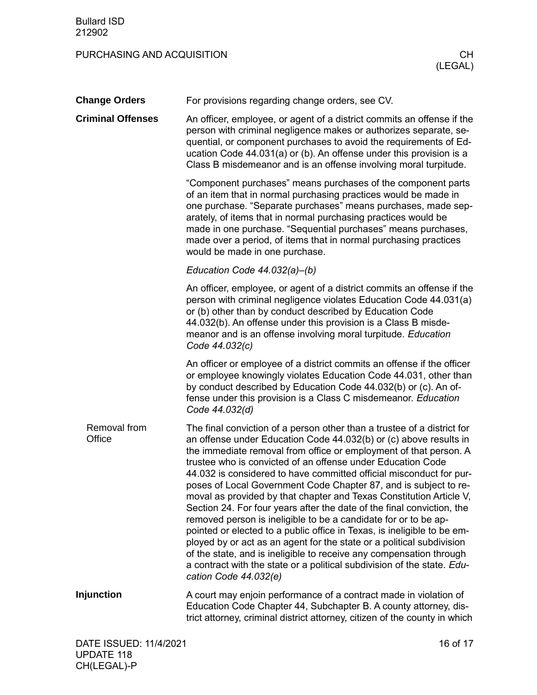<span id="page-15-3"></span><span id="page-15-2"></span><span id="page-15-1"></span><span id="page-15-0"></span>

| <b>Change Orders</b>     | For provisions regarding change orders, see CV.                                                                                                                                                                                                                                                                                                                                                                                                                                                                                                                                                                                                                                                                                                                                                                                                                                                                                                                                |
|--------------------------|--------------------------------------------------------------------------------------------------------------------------------------------------------------------------------------------------------------------------------------------------------------------------------------------------------------------------------------------------------------------------------------------------------------------------------------------------------------------------------------------------------------------------------------------------------------------------------------------------------------------------------------------------------------------------------------------------------------------------------------------------------------------------------------------------------------------------------------------------------------------------------------------------------------------------------------------------------------------------------|
| <b>Criminal Offenses</b> | An officer, employee, or agent of a district commits an offense if the<br>person with criminal negligence makes or authorizes separate, se-<br>quential, or component purchases to avoid the requirements of Ed-<br>ucation Code 44.031(a) or (b). An offense under this provision is a<br>Class B misdemeanor and is an offense involving moral turpitude.                                                                                                                                                                                                                                                                                                                                                                                                                                                                                                                                                                                                                    |
|                          | "Component purchases" means purchases of the component parts<br>of an item that in normal purchasing practices would be made in<br>one purchase. "Separate purchases" means purchases, made sep-<br>arately, of items that in normal purchasing practices would be<br>made in one purchase. "Sequential purchases" means purchases,<br>made over a period, of items that in normal purchasing practices<br>would be made in one purchase.                                                                                                                                                                                                                                                                                                                                                                                                                                                                                                                                      |
|                          | Education Code 44.032(a)-(b)                                                                                                                                                                                                                                                                                                                                                                                                                                                                                                                                                                                                                                                                                                                                                                                                                                                                                                                                                   |
|                          | An officer, employee, or agent of a district commits an offense if the<br>person with criminal negligence violates Education Code 44.031(a)<br>or (b) other than by conduct described by Education Code<br>44.032(b). An offense under this provision is a Class B misde-<br>meanor and is an offense involving moral turpitude. Education<br>Code 44.032(c)                                                                                                                                                                                                                                                                                                                                                                                                                                                                                                                                                                                                                   |
|                          | An officer or employee of a district commits an offense if the officer<br>or employee knowingly violates Education Code 44.031, other than<br>by conduct described by Education Code 44.032(b) or (c). An of-<br>fense under this provision is a Class C misdemeanor. Education<br>Code 44.032(d)                                                                                                                                                                                                                                                                                                                                                                                                                                                                                                                                                                                                                                                                              |
| Removal from<br>Office   | The final conviction of a person other than a trustee of a district for<br>an offense under Education Code 44.032(b) or (c) above results in<br>the immediate removal from office or employment of that person. A<br>trustee who is convicted of an offense under Education Code<br>44.032 is considered to have committed official misconduct for pur-<br>poses of Local Government Code Chapter 87, and is subject to re-<br>moval as provided by that chapter and Texas Constitution Article V,<br>Section 24. For four years after the date of the final conviction, the<br>removed person is ineligible to be a candidate for or to be ap-<br>pointed or elected to a public office in Texas, is ineligible to be em-<br>ployed by or act as an agent for the state or a political subdivision<br>of the state, and is ineligible to receive any compensation through<br>a contract with the state or a political subdivision of the state. Edu-<br>cation Code 44.032(e) |
| <b>Injunction</b>        | A court may enjoin performance of a contract made in violation of<br>Education Code Chapter 44, Subchapter B. A county attorney, dis-<br>trict attorney, criminal district attorney, citizen of the county in which                                                                                                                                                                                                                                                                                                                                                                                                                                                                                                                                                                                                                                                                                                                                                            |